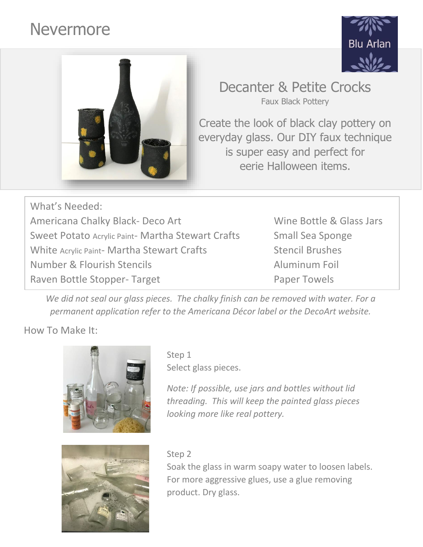# Nevermore





# Decanter & Petite Crocks Faux Black Pottery

Create the look of black clay pottery on everyday glass. Our DIY faux technique is super easy and perfect for eerie Halloween items.

What's Needed: Americana Chalky Black- Deco Art Wine Bottle & Glass Jars Sweet Potato Acrylic Paint- Martha Stewart Crafts Small Sea Sponge White Acrylic Paint- Martha Stewart Crafts Stencil Brushes Number & Flourish Stencils **Aluminum Foil** Raven Bottle Stopper- Target **Paper Towels** 

We did not seal our glass pieces. The chalky finish can be removed with water. For a *permanent application refer to the Americana Décor label or the DecoArt website.*

# How To Make It:





Step 1 Select glass pieces.

*Note: If possible, use jars and bottles without lid threading. This will keep the painted glass pieces looking more like real pottery.*

### Step 2

Soak the glass in warm soapy water to loosen labels. For more aggressive glues, use a glue removing product. Dry glass.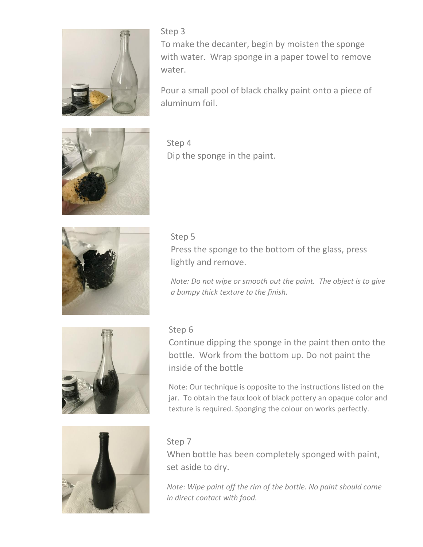

Step 3 To make the decanter, begin by moisten the sponge with water. Wrap sponge in a paper towel to remove water.

Pour a small pool of black chalky paint onto a piece of aluminum foil.



Step 4 Dip the sponge in the paint.



Step 5 Press the sponge to the bottom of the glass, press lightly and remove.

*Note: Do not wipe or smooth out the paint. The object is to give a bumpy thick texture to the finish.* 



#### Step 6

Continue dipping the sponge in the paint then onto the bottle. Work from the bottom up. Do not paint the inside of the bottle

Note: Our technique is opposite to the instructions listed on the jar. To obtain the faux look of black pottery an opaque color and texture is required. Sponging the colour on works perfectly.



#### Step 7

When bottle has been completely sponged with paint, set aside to dry.

*Note: Wipe paint off the rim of the bottle. No paint should come in direct contact with food.*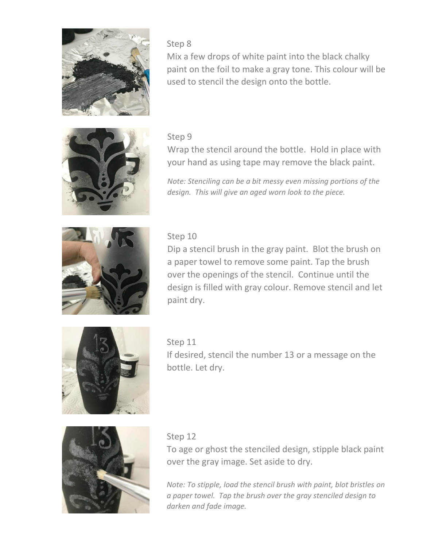

Step 8

Mix a few drops of white paint into the black chalky paint on the foil to make a gray tone. This colour will be used to stencil the design onto the bottle.



#### Step 9

Wrap the stencil around the bottle. Hold in place with your hand as using tape may remove the black paint.

*Note: Stenciling can be a bit messy even missing portions of the design. This will give an aged worn look to the piece.*



## Step 10

Dip a stencil brush in the gray paint. Blot the brush on a paper towel to remove some paint. Tap the brush over the openings of the stencil. Continue until the design is filled with gray colour. Remove stencil and let paint dry.



Step 11 If desired, stencil the number 13 or a message on the bottle. Let dry.



#### Step 12

To age or ghost the stenciled design, stipple black paint over the gray image. Set aside to dry.

*Note: To stipple, load the stencil brush with paint, blot bristles on a paper towel. Tap the brush over the gray stenciled design to darken and fade image.*